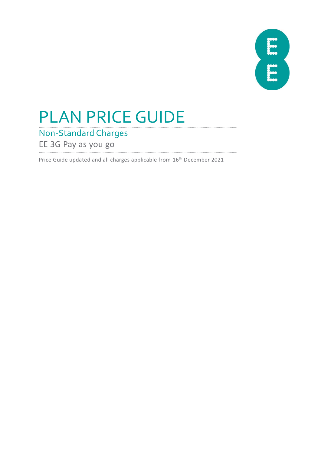

# PLAN PRICE GUIDE

Non-Standard Charges

EE 3G Pay as you go

Price Guide updated and all charges applicable from 16th December 2021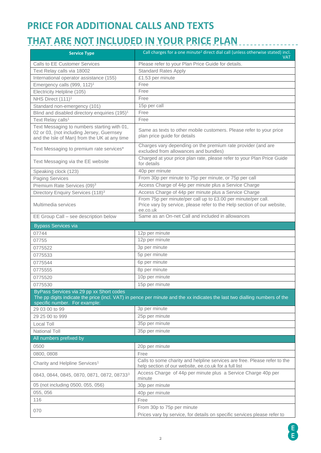## **PRICE FOR ADDITIONAL CALLS AND TEXTS**

## **THAT ARE NOT INCLUDED IN YOUR PRICE PLAN**

| <b>Service Type</b>                                                                                                                      | Call charges for a one minute <sup>2</sup> direct dial call (unless otherwise stated) incl.<br>VAT                                                   |
|------------------------------------------------------------------------------------------------------------------------------------------|------------------------------------------------------------------------------------------------------------------------------------------------------|
| <b>Calls to EE Customer Services</b>                                                                                                     | Please refer to your Plan Price Guide for details.                                                                                                   |
| Text Relay calls via 18002                                                                                                               | <b>Standard Rates Apply</b>                                                                                                                          |
| International operator assistance (155)                                                                                                  | £1.53 per minute                                                                                                                                     |
| Emergency calls (999, 112) <sup>1</sup>                                                                                                  | Free                                                                                                                                                 |
| Electricity Helpline (105)                                                                                                               | Free                                                                                                                                                 |
| NHS Direct (111) <sup>1</sup>                                                                                                            | Free                                                                                                                                                 |
| Standard non-emergency (101)                                                                                                             | 15p per call                                                                                                                                         |
| Blind and disabled directory enquiries (195) <sup>1</sup>                                                                                | Free                                                                                                                                                 |
| Text Relay calls <sup>1</sup>                                                                                                            | Free                                                                                                                                                 |
| Text Messaging to numbers starting with 01,<br>02 or 03, (not including Jersey, Guernsey<br>and the Isle of Man) from the UK at any time | Same as texts to other mobile customers. Please refer to your price<br>plan price guide for details                                                  |
| Text Messaging to premium rate services*                                                                                                 | Charges vary depending on the premium rate provider (and are<br>excluded from allowances and bundles)                                                |
| Text Messaging via the EE website                                                                                                        | Charged at your price plan rate, please refer to your Plan Price Guide<br>for details                                                                |
| Speaking clock (123)                                                                                                                     | 40p per minute                                                                                                                                       |
| <b>Paging Services</b>                                                                                                                   | From 30p per minute to 75p per minute, or 75p per call                                                                                               |
| Premium Rate Services (09) <sup>3</sup>                                                                                                  | Access Charge of 44p per minute plus a Service Charge                                                                                                |
| Directory Enquiry Services (118) <sup>3</sup>                                                                                            | Access Charge of 44p per minute plus a Service Charge                                                                                                |
| Multimedia services                                                                                                                      | From 75p per minute/per call up to £3.00 per minute/per call.<br>Price vary by service, please refer to the Help section of our website,<br>ee.co.uk |
| EE Group Call - see description below                                                                                                    | Same as an On-net Call and included in allowances                                                                                                    |
| <b>Bypass Services via</b>                                                                                                               |                                                                                                                                                      |
| 07744                                                                                                                                    | 12p per minute                                                                                                                                       |
| 07755                                                                                                                                    | 12p per minute                                                                                                                                       |
| 0775522                                                                                                                                  | 3p per minute                                                                                                                                        |
| 0775533                                                                                                                                  | 5p per minute                                                                                                                                        |
| 0775544                                                                                                                                  | 6p per minute                                                                                                                                        |
| 0775555                                                                                                                                  | 8p per minute                                                                                                                                        |
| 0775520                                                                                                                                  | 10p per minute                                                                                                                                       |
| 0775530                                                                                                                                  | 15p per minute                                                                                                                                       |
| ByPass Services via 29 pp xx Short codes<br>specific number. For example:                                                                | The pp digits indicate the price (incl. VAT) in pence per minute and the xx indicates the last two dialling numbers of the                           |
| 29 03 00 to 99                                                                                                                           | 3p per minute                                                                                                                                        |
| 29 25 00 to 999                                                                                                                          | 25p per minute                                                                                                                                       |
| Local Toll                                                                                                                               | 35p per minute                                                                                                                                       |
| <b>National Toll</b>                                                                                                                     | 35p per minute                                                                                                                                       |
| All numbers prefixed by                                                                                                                  |                                                                                                                                                      |
| 0500                                                                                                                                     | 20p per minute                                                                                                                                       |
| 0800, 0808                                                                                                                               | Free                                                                                                                                                 |
| Charity and Helpline Services <sup>1</sup>                                                                                               | Calls to some charity and helpline services are free. Please refer to the<br>help section of our website, ee.co.uk for a full list                   |
| 0843, 0844, 0845, 0870, 0871, 0872, 087333                                                                                               | Access Charge of 44p per minute plus a Service Charge 40p per<br>minute                                                                              |
| 05 (not including 0500, 055, 056)                                                                                                        | 30p per minute                                                                                                                                       |
| 055, 056                                                                                                                                 | 40p per minute                                                                                                                                       |
| 116                                                                                                                                      | Free                                                                                                                                                 |
| 070                                                                                                                                      | From 30p to 75p per minute                                                                                                                           |
|                                                                                                                                          | Prices vary by service, for details on specific services please refer to                                                                             |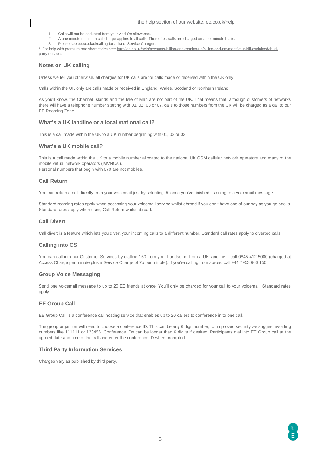- 1 Calls will not be deducted from your Add-On allowance.
- 2 A one minute minimum call charge applies to all calls. Thereafter, calls are charged on a per minute basis.
- 3 Please see ee.co.uk/ukcalling for a list of Service Charges.

\* For help with premium rate short codes see[: http://ee.co.uk/help/accounts-billing-and-topping-up/billing-and-payment/your-bill-explained/third](http://ee.co.uk/help/accounts-billing-and-topping-up/billing-and-payment/your-bill-explained/third-party-services)[party-services](http://ee.co.uk/help/accounts-billing-and-topping-up/billing-and-payment/your-bill-explained/third-party-services)

#### **Notes on UK calling**

Unless we tell you otherwise, all charges for UK calls are for calls made or received within the UK only.

Calls within the UK only are calls made or received in England, Wales, Scotland or Northern Ireland.

As you'll know, the Channel Islands and the Isle of Man are not part of the UK. That means that, although customers of networks there will have a telephone number starting with 01, 02, 03 or 07, calls to those numbers from the UK will be charged as a call to our EE Roaming Zone.

#### **What's a UK landline or a local /national call?**

This is a call made within the UK to a UK number beginning with 01, 02 or 03.

#### **What's a UK mobile call?**

This is a call made within the UK to a mobile number allocated to the national UK GSM cellular network operators and many of the mobile virtual network operators ('MVNOs').

Personal numbers that begin with 070 are not mobiles.

#### **Call Return**

You can return a call directly from your voicemail just by selecting '#' once you've finished listening to a voicemail message.

Standard roaming rates apply when accessing your voicemail service whilst abroad if you don't have one of our pay as you go packs. Standard rates apply when using Call Return whilst abroad.

#### **Call Divert**

Call divert is a feature which lets you divert your incoming calls to a different number. Standard call rates apply to diverted calls.

#### **Calling into CS**

You can call into our Customer Services by dialling 150 from your handset or from a UK landline – call 0845 412 5000 (charged at Access Charge per minute plus a Service Charge of 7p per minute). If you're calling from abroad call +44 7953 966 150.

#### **Group Voice Messaging**

Send one voicemail message to up to 20 EE friends at once. You'll only be charged for your call to your voicemail. Standard rates apply.

#### **EE Group Call**

EE Group Call is a conference call hosting service that enables up to 20 callers to conference in to one call.

The group organizer will need to choose a conference ID. This can be any 6 digit number, for improved security we suggest avoiding numbers like 111111 or 123456. Conference IDs can be longer than 6 digits if desired. Participants dial into EE Group call at the agreed date and time of the call and enter the conference ID when prompted.

#### **Third Party Information Services**

Charges vary as published by third party.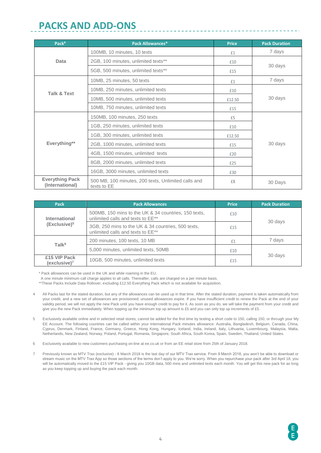### **PACKS AND ADD-ONS**

| Pack <sup>4</sup>                         | <b>Pack Allowances*</b>                                            | <b>Price</b> | <b>Pack Duration</b> |  |
|-------------------------------------------|--------------------------------------------------------------------|--------------|----------------------|--|
|                                           | 100MB, 10 minutes, 10 texts                                        | £1           | 7 days               |  |
| Data                                      | 2GB, 100 minutes, unlimited texts**                                | £10          | 30 days              |  |
|                                           | 5GB, 500 minutes, unlimited texts**                                | £15          |                      |  |
|                                           | 10MB, 25 minutes, 50 texts                                         | £1           | 7 days               |  |
|                                           | 10MB, 250 minutes, unlimited texts                                 | £10          |                      |  |
| <b>Talk &amp; Text</b>                    | 10MB, 500 minutes, unlimited texts                                 | £12.50       | 30 days              |  |
|                                           | 10MB, 750 minutes, unlimited texts                                 | £15          |                      |  |
|                                           | 150MB, 100 minutes, 250 texts                                      | £5           |                      |  |
|                                           | 1GB, 250 minutes, unlimited texts                                  | £10          |                      |  |
|                                           | 1GB, 300 minutes, unlimited texts                                  | £12.50       |                      |  |
| Everything**                              | 2GB, 1000 minutes, unlimited texts                                 | £15          | 30 days              |  |
|                                           | 4GB, 1500 minutes, unlimited texts                                 | £20          |                      |  |
|                                           | 8GB, 2000 minutes, unlimited texts                                 | £25          |                      |  |
|                                           | 16GB, 3000 minutes, unlimited texts                                | £30          |                      |  |
| <b>Everything Pack</b><br>(International) | 500 MB, 100 minutes, 200 texts, Unlimited calls and<br>texts to EE | £8           | 30 Days              |  |

| <b>Pack</b>                                                                                                | <b>Pack Allowances</b>                                                                  | <b>Price</b> | <b>Pack Duration</b> |  |
|------------------------------------------------------------------------------------------------------------|-----------------------------------------------------------------------------------------|--------------|----------------------|--|
| 500MB, 150 mins to the UK & 34 countries, 150 texts,<br>unlimited calls and texts to EE**<br>International |                                                                                         | £10          |                      |  |
| $(Exclusive)^5$                                                                                            | 3GB, 250 mins to the UK & 34 countries, 500 texts,<br>unlimited calls and texts to EE** | £15          | 30 days              |  |
|                                                                                                            | 200 minutes, 100 texts, 10 MB                                                           | £1           | 7 days               |  |
| Talk <sup>6</sup>                                                                                          | 5,000 minutes, unlimited texts, 50MB                                                    | £10          |                      |  |
| £15 VIP Pack<br>(exclusive) <sup>7</sup>                                                                   | 10GB, 500 minutes, unlimited texts                                                      | £15          | 30 days              |  |

\* Pack allowances can be used in the UK and while roaming in the EU.

A one minute minimum call charge applies to all calls. Thereafter, calls are charged on a per minute basis.

\*\*These Packs Include Data Rollover, excluding £12.50 Everything Pack which is not available for acquisition.

- 4 All Packs last for the stated duration, but any of the allowances can be used up in that time. After the stated duration, payment is taken automatically from your credit, and a new set of allowances are provisioned; unused allowances expire. If you have insufficient credit to renew the Pack at the end of your validity period, we will not apply the new Pack until you have enough credit to pay for it. As soon as you do, we will take the payment from your credit and give you the new Pack immediately. When topping up the minimum top up amount is £5 and you can only top up increments of £5.
- 5 Exclusively available online and in selected retail stores; cannot be added for the first time by texting a short code to 150, calling 150, or through your My EE Account. The following countries can be called within your International Pack minutes allowance: Australia, Bangladesh, Belgium, Canada, China, Cyprus, Denmark, Finland, France, Germany, Greece, Hong Kong, Hungary, Iceland, India, Ireland, Italy, Lithuania, Luxembourg, Malaysia, Malta, Netherlands, New Zealand, Norway, Poland, Portugal, Romania, Singapore, South Africa, South Korea, Spain, Sweden, Thailand, United States.
- 6 Exclusively available to new customers purchasing on-line at ee.co.uk or from an EE retail store from 25th of January 2018.
- 7 Previously known as MTV Trax (exclusive) 8 March 2018 is the last day of our MTV Trax service. From 9 March 2018, you won't be able to download or stream music on the MTV Trax App so those sections of the terms don't apply to you. We're sorry. When you repurchase your pack after 3rd April 18, you will be automatically moved to the £15 VIP Pack - giving you 10GB data, 500 mins and unlimited texts each month. You will get this new pack for as long as you keep topping up and buying the pack each month.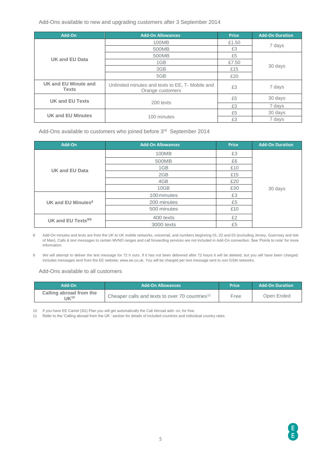Add-Ons available to new and upgrading customers after 3 September 2014

| Add-On                                      | <b>Add-On Allowances</b>                                             | <b>Price</b> | <b>Add-On Duration</b> |  |
|---------------------------------------------|----------------------------------------------------------------------|--------------|------------------------|--|
|                                             | 100MB                                                                | £1.50        | 7 days                 |  |
|                                             | 500MB                                                                | £3           |                        |  |
|                                             | 500MB                                                                | £5           |                        |  |
| <b>UK and EU Data</b>                       | 1GB                                                                  | £7.50        |                        |  |
|                                             | 3GB                                                                  | £15          | 30 days                |  |
|                                             | 5GB<br>£20                                                           |              |                        |  |
| <b>UK and EU Minute and</b><br><b>Texts</b> | Unlimited minutes and texts to EE, T- Mobile and<br>Orange customers |              | 7 days                 |  |
| <b>UK and EU Texts</b>                      |                                                                      | £5           | 30 days                |  |
|                                             | 200 texts                                                            | £3           | 7 days                 |  |
| <b>UK and EU Minutes</b>                    |                                                                      | £5           | 30 days                |  |
|                                             | 100 minutes                                                          | £3           | 7 days                 |  |

Add-Ons available to customers who joined before 3rd September 2014

| Add-On                         | <b>Add-On Allowances</b> | <b>Price</b> | <b>Add-On Duration</b> |
|--------------------------------|--------------------------|--------------|------------------------|
|                                | 100MB                    | £3           |                        |
|                                | 500MB                    | £6           |                        |
| <b>UK and EU Data</b>          | 1GB                      | £10          |                        |
|                                | 2GB                      | £15          |                        |
|                                | 4GB                      | £20          |                        |
|                                | 10GB                     | £30          | 30 days                |
|                                | 100 minutes              | £3           |                        |
| UK and EU Minutes <sup>8</sup> | 200 minutes              | £5           |                        |
|                                | 500 minutes              | £10          |                        |
| UK and EU Texts8/9             | 400 texts                | £2           |                        |
|                                | 3000 texts               | £5           |                        |

8 Add-On minutes and texts are from the UK to UK mobile networks, voicemail, and numbers beginning 01, 02 and 03 (excluding Jersey, Guernsey and Isle of Man). Calls & text messages to certain MVNO ranges and call forwarding services are not included in Add-On connection. See 'Points to note' for more information.

9 We will attempt to deliver the text message for 72 h ours. If it has not been delivered after 72 hours it will be deleted, but you will have been charged. Includes messages sent from the EE website; www.ee.co.uk. You will be charged per text message sent to non GSM networks.

#### Add-Ons available to all customers

| Add-On                                         | <b>Add-On Allowances</b>                                   | <b>Price</b> | <b>Add-On Duration</b> |
|------------------------------------------------|------------------------------------------------------------|--------------|------------------------|
| Calling abroad from the<br>$1$ K <sup>10</sup> | Cheaper calls and texts to over 70 countries <sup>11</sup> | Free         | Open Ended             |

10 If you have EE Camel (3G) Plan you will get automatically the Call Abroad add- on, for free.

11 Refer to the 'Calling abroad from the UK ' section for details of included countries and individual country rates.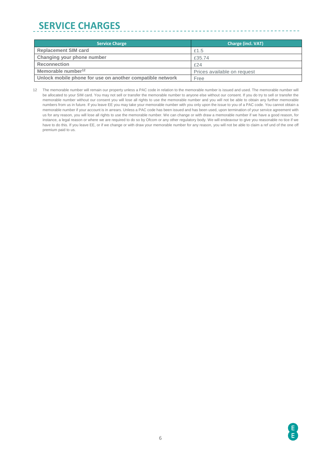# **SERVICE CHARGES**

| <b>Service Charge</b>                                     | <b>Charge (incl. VAT)</b>   |
|-----------------------------------------------------------|-----------------------------|
| <b>Replacement SIM card</b>                               | £1.5                        |
| Changing your phone number                                | £35.74                      |
| <b>Reconnection</b>                                       | £24                         |
| Memorable number <sup>12</sup>                            | Prices available on request |
| Unlock mobile phone for use on another compatible network | Free                        |

. <u>. . . . . . . . . . . . . . .</u> .

<sup>12</sup> The memorable number will remain our property unless a PAC code in relation to the memorable number is issued and used. The memorable number will be allocated to your SIM card. You may not sell or transfer the memorable number to anyone else without our consent. If you do try to sell or transfer the memorable number without our consent you will lose all rights to use the memorable number and you will not be able to obtain any further memorable numbers from us in future. If you leave EE you may take your memorable number with you only upon the issue to you of a PAC code. You cannot obtain a memorable number if your account is in arrears. Unless a PAC code has been issued and has been used, upon termination of your service agreement with us for any reason, you will lose all rights to use the memorable number. We can change or with draw a memorable number if we have a good reason, for instance, a legal reason or where we are required to do so by Ofcom or any other regulatory body. We will endeavour to give you reasonable no tice if we have to do this. If you leave EE, or if we change or with draw your memorable number for any reason, you will not be able to claim a ref und of the one off premium paid to us.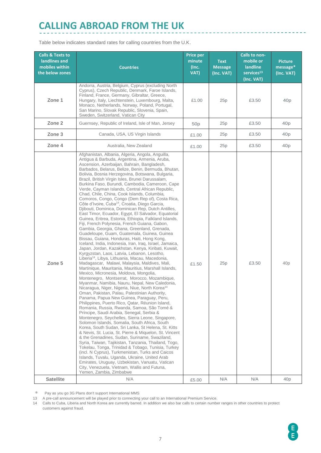### **CALLING ABROAD FROM THE UK**

Table below indicates standard rates for calling countries from the U.K.

| <b>Calls &amp; Texts to</b><br>landlines and<br>mobiles within<br>the below zones | <b>Countries</b>                                                                                                                                                                                                                                                                                                                                                                                                                                                                                                                                                                                                                                                                                                                                                                                                                                                                                                                                                                                                                                                                                                                                                                                                                                                                                                                                                                                                                                                                                                                                                                                                                                                                                                                                                                                                                                                                                                                                                                                                                                                                                                                                                                                                                                                                                                                                                                  | <b>Price per</b><br>minute<br>(Inc.<br>VAT) | <b>Text</b><br><b>Message</b><br>(Inc. VAT) | Calls to non-<br>mobile or<br><b>landline</b><br>$s$ ervices <sup>13</sup><br>(Inc. VAT) | <b>Picture</b><br>message*<br>(Inc. VAT) |
|-----------------------------------------------------------------------------------|-----------------------------------------------------------------------------------------------------------------------------------------------------------------------------------------------------------------------------------------------------------------------------------------------------------------------------------------------------------------------------------------------------------------------------------------------------------------------------------------------------------------------------------------------------------------------------------------------------------------------------------------------------------------------------------------------------------------------------------------------------------------------------------------------------------------------------------------------------------------------------------------------------------------------------------------------------------------------------------------------------------------------------------------------------------------------------------------------------------------------------------------------------------------------------------------------------------------------------------------------------------------------------------------------------------------------------------------------------------------------------------------------------------------------------------------------------------------------------------------------------------------------------------------------------------------------------------------------------------------------------------------------------------------------------------------------------------------------------------------------------------------------------------------------------------------------------------------------------------------------------------------------------------------------------------------------------------------------------------------------------------------------------------------------------------------------------------------------------------------------------------------------------------------------------------------------------------------------------------------------------------------------------------------------------------------------------------------------------------------------------------|---------------------------------------------|---------------------------------------------|------------------------------------------------------------------------------------------|------------------------------------------|
| Zone 1                                                                            | Andorra, Austria, Belgium, Cyprus (excluding North<br>Cyprus), Czech Republic, Denmark, Faroe Islands,<br>Finland, France, Germany, Gibraltar, Greece,<br>Hungary, Italy, Liechtenstein, Luxembourg, Malta,<br>Monaco, Netherlands, Norway, Poland, Portugal,<br>San Marino, Slovak Republic, Slovenia, Spain,<br>Sweden, Switzerland, Vatican City                                                                                                                                                                                                                                                                                                                                                                                                                                                                                                                                                                                                                                                                                                                                                                                                                                                                                                                                                                                                                                                                                                                                                                                                                                                                                                                                                                                                                                                                                                                                                                                                                                                                                                                                                                                                                                                                                                                                                                                                                               | £1.00                                       | 25p                                         | £3.50                                                                                    | 40p                                      |
| Zone 2                                                                            | Guernsey, Republic of Ireland, Isle of Man, Jersey                                                                                                                                                                                                                                                                                                                                                                                                                                                                                                                                                                                                                                                                                                                                                                                                                                                                                                                                                                                                                                                                                                                                                                                                                                                                                                                                                                                                                                                                                                                                                                                                                                                                                                                                                                                                                                                                                                                                                                                                                                                                                                                                                                                                                                                                                                                                | 50 <sub>p</sub>                             | 25p                                         | £3.50                                                                                    | 40 <sub>p</sub>                          |
| Zone 3                                                                            | Canada, USA, US Virgin Islands                                                                                                                                                                                                                                                                                                                                                                                                                                                                                                                                                                                                                                                                                                                                                                                                                                                                                                                                                                                                                                                                                                                                                                                                                                                                                                                                                                                                                                                                                                                                                                                                                                                                                                                                                                                                                                                                                                                                                                                                                                                                                                                                                                                                                                                                                                                                                    | £1.00                                       | 25p                                         | £3.50                                                                                    | 40 <sub>p</sub>                          |
| Zone 4                                                                            | Australia, New Zealand                                                                                                                                                                                                                                                                                                                                                                                                                                                                                                                                                                                                                                                                                                                                                                                                                                                                                                                                                                                                                                                                                                                                                                                                                                                                                                                                                                                                                                                                                                                                                                                                                                                                                                                                                                                                                                                                                                                                                                                                                                                                                                                                                                                                                                                                                                                                                            | £1.00                                       | 25p                                         | £3.50                                                                                    | 40 <sub>p</sub>                          |
| Zone 5                                                                            | Afghanistan, Albania, Algeria, Angola, Anguilla,<br>Antigua & Barbuda, Argentina, Armenia, Aruba,<br>Ascension, Azerbaijan, Bahrain, Bangladesh,<br>Barbados, Belarus, Belize, Benin, Bermuda, Bhutan,<br>Bolivia, Bosnia Herzegovina, Botswana, Bulgaria,<br>Brazil, British Virgin Isles, Brunei Darussalam,<br>Burkina Faso, Burundi, Cambodia, Cameroon, Cape<br>Verde, Cayman Islands, Central African Republic,<br>Chad, Chile, China, Cook Islands, Columbia,<br>Comoros, Congo, Congo (Dem Rep of), Costa Rica,<br>Côte d'Ivoire, Cuba <sup>14</sup> , Croatia, Diego Garcia,<br>Djibouti, Dominica, Dominican Rep, Dutch Antilles,<br>East Timor, Ecuador, Egypt, El Salvador, Equatorial<br>Guinea, Eritrea, Estonia, Ethiopia, Falkland Islands,<br>Fiji, French Polynesia, French Guiana, Gabon,<br>Gambia, Georgia, Ghana, Greenland, Grenada,<br>Guadeloupe, Guam, Guatemala, Guinea, Guinea<br>Bissau, Guiana, Honduras, Haiti, Hong Kong,<br>Iceland, India, Indonesia, Iran, Iraq, Israel, Jamaica,<br>Japan, Jordan, Kazakhstan, Kenya, Kiribati, Kuwait,<br>Kyrgyzstan, Laos, Latvia, Lebanon, Lesotho,<br>Liberia <sup>14</sup> , Libya, Lithuania, Macau, Macedonia,<br>Madagascar, Malawi, Malaysia, Maldives, Mali,<br>Martinique, Mauritania, Mauritius, Marshall Islands,<br>Mexico, Micronesia, Moldova, Mongolia,<br>Montenegro, Montserrat, Morocco, Mozambique,<br>Myanmar, Namibia, Nauru, Nepal, New Caledonia,<br>Nicaragua, Niger, Nigeria, Niue, North Korea <sup>14</sup><br>Oman, Pakistan, Palau, Palestinian Authority,<br>Panama, Papua New Guinea, Paraguay, Peru,<br>Philippines, Puerto Rico, Qatar, Réunion Island,<br>Romania, Russia, Rwanda, Samoa, São Tomé &<br>Príncipe, Saudi Arabia, Senegal, Serbia &<br>Montenegro, Seychelles, Sierra Leone, Singapore,<br>Solomon Islands, Somalia, South Africa, South<br>Korea, South Sudan, Sri Lanka, St Helena, St. Kitts<br>& Nevis, St. Lucia, St. Pierre & Miquelon, St. Vincent<br>& the Grenadines, Sudan, Suriname, Swaziland,<br>Syria, Taiwan, Tajikistan, Tanzania, Thailand, Togo,<br>Tokelau, Tonga, Trinidad & Tobago, Tunisia, Turkey<br>(incl. N Cyprus), Turkmenistan, Turks and Caicos<br>Islands, Tuvalu, Uganda, Ukraine, United Arab<br>Emirates, Uruguay, Uzbekistan, Vanuatu, Vatican<br>City, Venezuela, Vietnam, Wallis and Futuna,<br>Yemen, Zambia, Zimbabwe | £1.50                                       | 25p                                         | £3.50                                                                                    | 40 <sub>p</sub>                          |
| <b>Satellite</b>                                                                  | N/A                                                                                                                                                                                                                                                                                                                                                                                                                                                                                                                                                                                                                                                                                                                                                                                                                                                                                                                                                                                                                                                                                                                                                                                                                                                                                                                                                                                                                                                                                                                                                                                                                                                                                                                                                                                                                                                                                                                                                                                                                                                                                                                                                                                                                                                                                                                                                                               | £5.00                                       | N/A                                         | N/A                                                                                      | 40p                                      |

Pay as you go 3G Plans don't support International MMS

13 A pre-call announcement will be played prior to connecting your call to an International Premium Service.

14 Calls to Cuba, Liberia and North Korea are currently barred. In addition we also bar calls to certain number ranges in other countries to protect customers against fraud.

------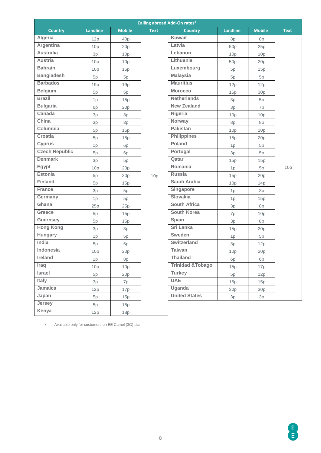| <b>Calling abroad Add-On rates*</b> |                 |               |             |                              |                 |               |             |
|-------------------------------------|-----------------|---------------|-------------|------------------------------|-----------------|---------------|-------------|
| <b>Country</b>                      | <b>Landline</b> | <b>Mobile</b> | <b>Text</b> | <b>Country</b>               | <b>Landline</b> | <b>Mobile</b> | <b>Text</b> |
| Algeria                             | 12p             | 40p           |             | <b>Kuwait</b>                | 8p              | 8p            |             |
| Argentina                           | 10p             | 20p           |             | Latvia                       | 50p             | 25p           |             |
| <b>Australia</b>                    | 3p              | 10p           |             | Lebanon                      | 10p             | 10p           |             |
| <b>Austria</b>                      | 10p             | 10p           |             | Lithuania                    | 50p             | 20p           |             |
| <b>Bahrain</b>                      | 10p             | 15p           |             | Luxembourg                   | 5p              | 15p           |             |
| <b>Bangladesh</b>                   | 5p              | 5p            |             | <b>Malaysia</b>              | 5p              | 5p            |             |
| <b>Barbados</b>                     | 19p             | 19p           |             | <b>Mauritius</b>             | 12p             | 12p           |             |
| <b>Belgium</b>                      | 5p              | 5p            |             | <b>Morocco</b>               | 15p             | 30p           |             |
| <b>Brazil</b>                       | 1p              | 15p           |             | <b>Netherlands</b>           | 3p              | 5p            |             |
| <b>Bulgaria</b>                     | 6p              | 20p           |             | <b>New Zealand</b>           | 3p              | 7p            |             |
| Canada                              | 3p              | 3p            |             | Nigeria                      | 10p             | 10p           |             |
| China                               | 3p              | 3p            |             | Norway                       | 8p              | 8p            |             |
| Columbia                            | 5p              | 15p           |             | <b>Pakistan</b>              | 10p             | 10p           |             |
| Croatia                             | 5p              | 15p           |             | <b>Philippines</b>           | 15p             | 20p           |             |
| Cyprus                              | 1p              | 6p            |             | Poland                       | 1p              | 5p            |             |
| <b>Czech Republic</b>               | 5p              | 6p            |             | Portugal                     | 3p              | 5p            |             |
| <b>Denmark</b>                      | 3p              | 5p            |             | Qatar                        | 15p             | 15p           |             |
| Egypt                               | 10p             | 20p           |             | Romania                      | 1p              | 5p            | 10p         |
| <b>Estonia</b>                      | 5p              | 30p           | 10p         | <b>Russia</b>                | 15p             | 20p           |             |
| <b>Finland</b>                      | 5p              | 15p           |             | Saudi Arabia                 | 10p             | 14p           |             |
| France                              | 3p              | 5p            |             | Singapore                    | 1p              | 3p            |             |
| Germany                             | 1p              | 5p            |             | <b>Slovakia</b>              | 1p              | 15p           |             |
| Ghana                               | 25p             | 25p           |             | <b>South Africa</b>          | 3p              | 8p            |             |
| Greece                              | 5p              | 15p           |             | <b>South Korea</b>           | 7p              | 10p           |             |
| Guernsey                            | 5p              | 15p           |             | Spain                        | 3p              | 8p            |             |
| <b>Hong Kong</b>                    | 3p              | 3p            |             | Sri Lanka                    | 15p             | 20p           |             |
| Hungary                             | 1p              | 5p            |             | Sweden                       | 1p              | 5p            |             |
| India                               | 5p              | 5p            |             | Switzerland                  | 3p              | 12p           |             |
| Indonesia                           | 10p             | 20p           |             | <b>Taiwan</b>                | 10p             | 20p           |             |
| Ireland                             | 1p              | 8p            |             | <b>Thailand</b>              | 6p              | 6p            |             |
| Iraq                                | 10p             | 10p           |             | <b>Trinidad &amp; Tobago</b> | 15p             | 17p           |             |
| <b>Israel</b>                       | 5p              | 20p           |             | <b>Turkey</b>                | 5p              | 12p           |             |
| Italy                               | 3p              | 7p            |             | <b>UAE</b>                   | 15p             | 15p           |             |
| Jamaica                             | 12p             | 17p           |             | Uganda                       | 30p             | 30p           |             |
| Japan                               | 5p              | 15p           |             | <b>United States</b>         | 3p              | 3p            |             |
| Jersey                              | 5p              | 15p           |             |                              |                 |               |             |
| Kenya                               | 12p             | 18p           |             |                              |                 |               |             |

Available only for customers on EE Camel (3G) plan

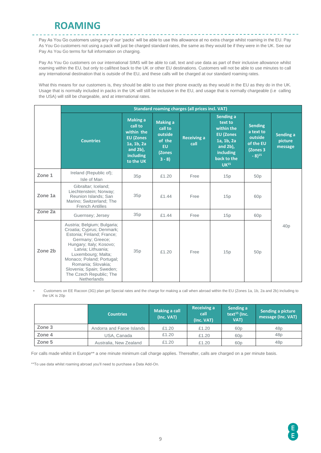### **ROAMING**

Pay As You Go customers using any of our 'packs' will be able to use this allowance at no extra charge whilst roaming in the EU. Pay As You Go customers not using a pack will just be charged standard rates, the same as they would be if they were in the UK. See our Pay As You Go terms for full information on charging.

-------------------------------

Pay As You Go customers on our international SIMS will be able to call, text and use data as part of their inclusive allowance whilst roaming within the EU, but only to call/text back to the UK or other EU destinations. Customers will not be able to use minutes to call any international destination that is outside of the EU, and these calls will be charged at our standard roaming rates.

What this means for our customers is, they should be able to use their phone exactly as they would in the EU as they do in the UK. Usage that is normally included in packs in the UK will still be inclusive in the EU, and usage that is normally chargeable (i.e calling the USA) will still be chargeable, and at international rates.

|         | <b>Standard roaming charges (all prices incl. VAT)</b>                                                                                                                                                                                                                                                    |                                                                                                                            |                                                                                   |                            |                                                                                                                                    |                                                                                        |                                 |  |  |
|---------|-----------------------------------------------------------------------------------------------------------------------------------------------------------------------------------------------------------------------------------------------------------------------------------------------------------|----------------------------------------------------------------------------------------------------------------------------|-----------------------------------------------------------------------------------|----------------------------|------------------------------------------------------------------------------------------------------------------------------------|----------------------------------------------------------------------------------------|---------------------------------|--|--|
|         | <b>Countries</b>                                                                                                                                                                                                                                                                                          | <b>Making a</b><br>call to<br>within the<br><b>EU (Zones</b><br>1a, 1b, 2a<br>and $2b$ ),<br><b>including</b><br>to the UK | <b>Making a</b><br>call to<br>outside<br>of the<br><b>EU</b><br>(Zones<br>$3 - 8$ | <b>Receiving a</b><br>call | Sending a<br>text to<br>within the<br><b>EU (Zones</b><br>1a, 1b, 2a<br>and $2b$ ,<br>including<br>back to the<br>UK <sup>15</sup> | <b>Sending</b><br>a text to<br>outside<br>of the EU<br>(Zones 3<br>$-8)$ <sup>15</sup> | Sending a<br>picture<br>message |  |  |
| Zone 1  | Ireland (Republic of);<br>Isle of Man                                                                                                                                                                                                                                                                     | 35p                                                                                                                        | £1.20                                                                             | Free                       | 15p                                                                                                                                | 50p                                                                                    |                                 |  |  |
| Zone 1a | Gibraltar; Iceland;<br>Liechtenstein; Norway;<br>Reunion Islands; San<br>Marino; Switzerland; The<br><b>French Antilles</b>                                                                                                                                                                               | 35p                                                                                                                        | £1.44                                                                             | Free                       | 15p                                                                                                                                | 60 <sub>p</sub>                                                                        |                                 |  |  |
| Zone 2a | Guernsey; Jersey                                                                                                                                                                                                                                                                                          | 35p                                                                                                                        | £1.44                                                                             | Free                       | 15p                                                                                                                                | 60p                                                                                    |                                 |  |  |
| Zone 2b | Austria; Belgium; Bulgaria;<br>Croatia; Cyprus; Denmark;<br>Estonia; Finland; France;<br>Germany; Greece;<br>Hungary; Italy; Kosovo;<br>Latvia; Lithuania;<br>Luxembourg; Malta;<br>Monaco; Poland; Portugal;<br>Romania; Slovakia;<br>Slovenia; Spain; Sweden;<br>The Czech Republic; The<br>Netherlands | 35p                                                                                                                        | £1.20                                                                             | Free                       | 15p                                                                                                                                | 50 <sub>p</sub>                                                                        | 40p                             |  |  |

 Customers on EE Racoon (3G) plan get Special rates and the charge for making a call when abroad within the EU (Zones 1a, 1b, 2a and 2b) including to the UK is 20p

|        | <b>Countries</b>          | <b>Making a call</b><br>(Inc. VAT) | <b>Receiving a</b><br>call<br>(Inc. VAT) | Sending a<br>text <sup>15</sup> (Inc.<br>VAT) | Sending a picture<br>message (Inc. VAT) |
|--------|---------------------------|------------------------------------|------------------------------------------|-----------------------------------------------|-----------------------------------------|
| Zone 3 | Andorra and Faroe Islands | £1.20                              | £1.20                                    | 60 <sub>p</sub>                               | 48p                                     |
| Zone 4 | USA, Canada               | £1.20                              | £1.20                                    | 60 <sub>p</sub>                               | 48p                                     |
| Zone 5 | Australia, New Zealand    | £1.20                              | £1.20                                    | 60 <sub>p</sub>                               | 48p                                     |

For calls made whilst in Europe\*\* a one minute minimum call charge applies. Thereafter, calls are charged on a per minute basis.

\*\*To use data whilst roaming abroad you'll need to purchase a Data Add-On.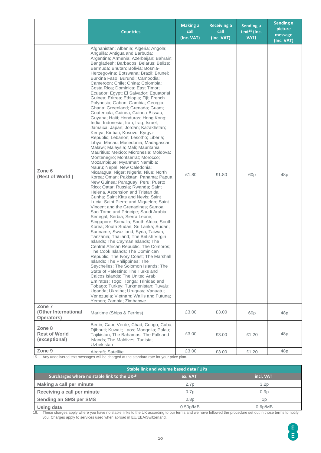|                                                 | <b>Countries</b>                                                                                                                                                                                                                                                                                                                                                                                                                                                                                                                                                                                                                                                                                                                                                                                                                                                                                                                                                                                                                                                                                                                                                                                                                                                                                                                                                                                                                                                                                                                                                                                                                                                                                                                                                                                                                                                                                                                                                                                                                                                                   | <b>Making a</b><br>call<br>(Inc. VAT) | <b>Receiving a</b><br>call<br>(Inc. VAT) | Sending a<br>text <sup>15</sup> (Inc.<br>VAT) | Sending a<br>picture<br>message<br>(Inc. VAT) |
|-------------------------------------------------|------------------------------------------------------------------------------------------------------------------------------------------------------------------------------------------------------------------------------------------------------------------------------------------------------------------------------------------------------------------------------------------------------------------------------------------------------------------------------------------------------------------------------------------------------------------------------------------------------------------------------------------------------------------------------------------------------------------------------------------------------------------------------------------------------------------------------------------------------------------------------------------------------------------------------------------------------------------------------------------------------------------------------------------------------------------------------------------------------------------------------------------------------------------------------------------------------------------------------------------------------------------------------------------------------------------------------------------------------------------------------------------------------------------------------------------------------------------------------------------------------------------------------------------------------------------------------------------------------------------------------------------------------------------------------------------------------------------------------------------------------------------------------------------------------------------------------------------------------------------------------------------------------------------------------------------------------------------------------------------------------------------------------------------------------------------------------------|---------------------------------------|------------------------------------------|-----------------------------------------------|-----------------------------------------------|
| Zone 6<br>(Rest of World)                       | Afghanistan; Albania; Algeria; Angola;<br>Anguilla; Antigua and Barbuda;<br>Argentina; Armenia; Azerbaijan; Bahrain;<br>Bangladesh; Barbados; Belarus; Belize;<br>Bermuda; Bhutan; Bolivia; Bosnia-<br>Herzegovina; Botswana; Brazil; Brunei;<br>Burkina Faso; Burundi; Cambodia;<br>Cameroon; Chile; China; Colombia;<br>Costa Rica; Dominica; East Timor;<br>Ecuador: Eqypt: El Salvador: Equatorial<br>Guinea; Eritrea; Ethiopia; Fiji; French<br>Polynesia; Gabon; Gambia; Georgia;<br>Ghana: Greenland: Grenada: Guam:<br>Guatemala; Guinea; Guinea-Bissau;<br>Guyana; Haiti; Honduras; Hong Kong;<br>India; Indonesia; Iran; Iraq; Israel;<br>Jamaica; Japan; Jordan; Kazakhstan;<br>Kenya; Kiribati; Kosovo; Kyrgyz<br>Republic: Lebanon: Lesotho: Liberia:<br>Libya; Macau; Macedonia; Madagascar;<br>Malawi; Malaysia; Mali; Mauritania;<br>Mauritius; Mexico; Micronesia; Moldova;<br>Montenegro; Montserrat; Morocco;<br>Mozambique; Myanmar; Namibia;<br>Nauru; Nepal; New Caledonia;<br>Nicaragua; Niger; Nigeria; Niue; North<br>Korea; Oman; Pakistan; Panama; Papua<br>New Guinea; Paraguay; Peru; Puerto<br>Rico; Qatar; Russia; Rwanda; Saint<br>Helena, Ascension and Tristan da<br>Cunha; Saint Kitts and Nevis; Saint<br>Lucia; Saint Pierre and Miquelon; Saint<br>Vincent and the Grenadines; Samoa;<br>Sao Tome and Principe; Saudi Arabia;<br>Senegal; Serbia; Sierra Leone;<br>Singapore; Somalia; South Africa; South<br>Korea; South Sudan; Sri Lanka; Sudan;<br>Suriname; Swaziland; Syria; Taiwan;<br>Tanzania; Thailand; The British Virgin<br>Islands; The Cayman Islands; The<br>Central African Republic; The Comoros;<br>The Cook Islands; The Dominican<br>Republic; The Ivory Coast; The Marshall<br>Islands; The Philippines; The<br>Seychelles: The Solomon Islands: The<br>State of Palestine; The Turks and<br>Caicos Islands: The United Arab<br>Emirates; Togo; Tonga; Trinidad and<br>Tobago; Turkey; Turkmenistan; Tuvalu;<br>Uganda; Ukraine; Uruguay; Vanuatu;<br>Venezuela; Vietnam; Wallis and Futuna;<br>Yemen; Zambia; Zimbabwe | £1.80                                 | £1.80                                    | 60 <sub>p</sub>                               | 48p                                           |
| Zone 7<br>(Other International<br>Operators)    | Maritime (Ships & Ferries)                                                                                                                                                                                                                                                                                                                                                                                                                                                                                                                                                                                                                                                                                                                                                                                                                                                                                                                                                                                                                                                                                                                                                                                                                                                                                                                                                                                                                                                                                                                                                                                                                                                                                                                                                                                                                                                                                                                                                                                                                                                         | £3.00                                 | £3.00                                    | 60 <sub>p</sub>                               | 48p                                           |
| Zone 8<br><b>Rest of World</b><br>(exceptional) | Benin; Cape Verde; Chad; Congo; Cuba;<br>Djibouti; Kuwait; Laos; Mongolia; Palau;<br>Tajikistan; The Bahamas; The Falkland<br>Islands; The Maldives; Tunisia;<br>Uzbekistan                                                                                                                                                                                                                                                                                                                                                                                                                                                                                                                                                                                                                                                                                                                                                                                                                                                                                                                                                                                                                                                                                                                                                                                                                                                                                                                                                                                                                                                                                                                                                                                                                                                                                                                                                                                                                                                                                                        | £3.00                                 | £3.00                                    | £1.20                                         | 48p                                           |
| Zone <sub>9</sub>                               | Aircraft; Satellite                                                                                                                                                                                                                                                                                                                                                                                                                                                                                                                                                                                                                                                                                                                                                                                                                                                                                                                                                                                                                                                                                                                                                                                                                                                                                                                                                                                                                                                                                                                                                                                                                                                                                                                                                                                                                                                                                                                                                                                                                                                                | £3.00                                 | £3.00                                    | £1.20                                         | 48p                                           |

15 Any undelivered text messages will be charged at the standard rate for your price plan.

| <b>Stable link and volume based data FUPs</b>           |                       |                      |  |  |  |  |
|---------------------------------------------------------|-----------------------|----------------------|--|--|--|--|
| Surcharges where no stable link to the UK <sup>16</sup> | ex. VAT               | incl. VAT            |  |  |  |  |
| Making a call per minute                                | 2.7 <sub>D</sub>      | 3.2 <sub>D</sub>     |  |  |  |  |
| Receiving a call per minute                             | 0.7p                  | 0.9 <sub>D</sub>     |  |  |  |  |
| Sending an SMS per SMS                                  | 0.8 <sub>D</sub>      | 1 D                  |  |  |  |  |
| Using data                                              | 0.50 <sub>p</sub> /MB | 0.6 <sub>D</sub> /MB |  |  |  |  |

16. These charges apply where you have no stable links to the UK according to our terms and we have followed the procedure set out in those terms to notify you. Charges apply to services used when abroad in EU/EEA/Switzerland.

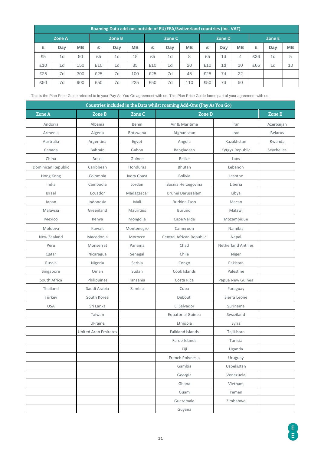| Roaming Data add-ons outside of EU/EEA/Switzerland countries (Inc. VAT) |        |           |        |     |           |     |        |           |     |        |           |     |     |           |
|-------------------------------------------------------------------------|--------|-----------|--------|-----|-----------|-----|--------|-----------|-----|--------|-----------|-----|-----|-----------|
|                                                                         | Zone A |           | Zone B |     | Zone C    |     | Zone D |           |     | Zone E |           |     |     |           |
| £                                                                       | Day    | <b>MB</b> | £      | Day | <b>MB</b> | £   | Day    | <b>MB</b> | £   | Dav    | <b>MB</b> | £   | Day | <b>MB</b> |
| £5                                                                      | 1d     | 50        | £5     | 1d  | 15        | £5  | 1d     | 8         | £5  | 1d     | 4         | £36 | 1d  | 5         |
| £10                                                                     | 1d     | 150       | £10    | 1d  | 35        | £10 | 1d     | 20        | £10 | 1d     | 10        | £66 | 1d  | 10        |
| £25                                                                     | 7d     | 300       | £25    | 7d  | 100       | £25 | 7d     | 45        | £25 | 7d     | 22        |     |     |           |
| £50                                                                     | 7d     | 900       | £50    | 7d  | 225       | £50 | 7d     | 110       | £50 | 7d     | 50        |     |     |           |

This is the Plan Price Guide referred to in your Pay As You Go agreement with us. This Plan Price Guide forms part of your agreement with us.

| Countries included in the Data whilst roaming Add-Ons (Pay As You Go) |                             |               |                          |                            |                |  |  |  |
|-----------------------------------------------------------------------|-----------------------------|---------------|--------------------------|----------------------------|----------------|--|--|--|
| Zone A                                                                | Zone B                      | <b>Zone C</b> | <b>Zone D</b>            |                            | Zone E         |  |  |  |
| Andorra                                                               | Albania                     | Benin         | Air & Maritime           | Iran                       | Azerbaijan     |  |  |  |
| Armenia                                                               | Algeria                     | Botswana      | Afghanistan              | Iraq                       | <b>Belarus</b> |  |  |  |
| Australia                                                             | Argentina                   | Egypt         | Angola                   | Kazakhstan                 | Rwanda         |  |  |  |
| Canada                                                                | Bahrain                     | Gabon         | Bangladesh               | Kyrgyz Republic            | Seychelles     |  |  |  |
| China                                                                 | <b>Brazil</b>               | Guinee        | <b>Belize</b>            | Laos                       |                |  |  |  |
| Dominican Republic                                                    | Caribbean                   | Honduras      | Bhutan                   | Lebanon                    |                |  |  |  |
| Hong Kong                                                             | Colombia                    | Ivory Coast   | <b>Bolivia</b>           | Lesotho                    |                |  |  |  |
| India                                                                 | Cambodia                    | Jordan        | Bosnia Herzegovina       | Liberia                    |                |  |  |  |
| Israel                                                                | Ecuador                     | Madagascar    | Brunei Darussalam        | Libya                      |                |  |  |  |
| Japan                                                                 | Indonesia                   | Mali          | Burkina Faso             | Macao                      |                |  |  |  |
| Malaysia                                                              | Greenland                   | Mauritius     | Burundi                  | Malawi                     |                |  |  |  |
| Mexico                                                                | Kenya                       | Mongolia      | Cape Verde               | Mozambique                 |                |  |  |  |
| Moldova                                                               | Kuwait                      | Montenegro    | Cameroon                 | Namibia                    |                |  |  |  |
| New Zealand                                                           | Macedonia                   | Morocco       | Central African Republic | Nepal                      |                |  |  |  |
| Peru                                                                  | Monserrat                   | Panama        | Chad                     | <b>Netherland Antilles</b> |                |  |  |  |
| Qatar                                                                 | Nicaragua                   | Senegal       | Chile                    | Niger                      |                |  |  |  |
| Russia                                                                | Nigeria                     | Serbia        | Congo                    | Pakistan                   |                |  |  |  |
| Singapore                                                             | Oman                        | Sudan         | Cook Islands             | Palestine                  |                |  |  |  |
| South Africa                                                          | Philippines                 | Tanzania      | Costa Rica               | Papua New Guinea           |                |  |  |  |
| Thailand                                                              | Saudi Arabia                | Zambia        | Cuba                     | Paraguay                   |                |  |  |  |
| Turkey                                                                | South Korea                 |               | Djibouti                 | Sierra Leone               |                |  |  |  |
| <b>USA</b>                                                            | Sri Lanka                   |               | El Salvador              | Suriname                   |                |  |  |  |
|                                                                       | Taiwan                      |               | <b>Equatorial Guinea</b> | Swaziland                  |                |  |  |  |
|                                                                       | Ukraine                     |               | Ethiopia                 | Syria                      |                |  |  |  |
|                                                                       | <b>United Arab Emirates</b> |               | <b>Falkland Islands</b>  | Tajikistan                 |                |  |  |  |
|                                                                       |                             |               | Faroe Islands            | Tunisia                    |                |  |  |  |
|                                                                       |                             |               | Fiji                     | Uganda                     |                |  |  |  |
|                                                                       |                             |               | French Polynesia         | Uruguay                    |                |  |  |  |
|                                                                       |                             |               | Gambia<br>Uzbekistan     |                            |                |  |  |  |
|                                                                       |                             |               | Georgia<br>Venezuela     |                            |                |  |  |  |
|                                                                       |                             |               | Ghana<br>Vietnam         |                            |                |  |  |  |
|                                                                       |                             |               | Guam                     | Yemen                      |                |  |  |  |
|                                                                       |                             |               | Guatemala                | Zimbabwe                   |                |  |  |  |
|                                                                       |                             |               | Guyana                   |                            |                |  |  |  |